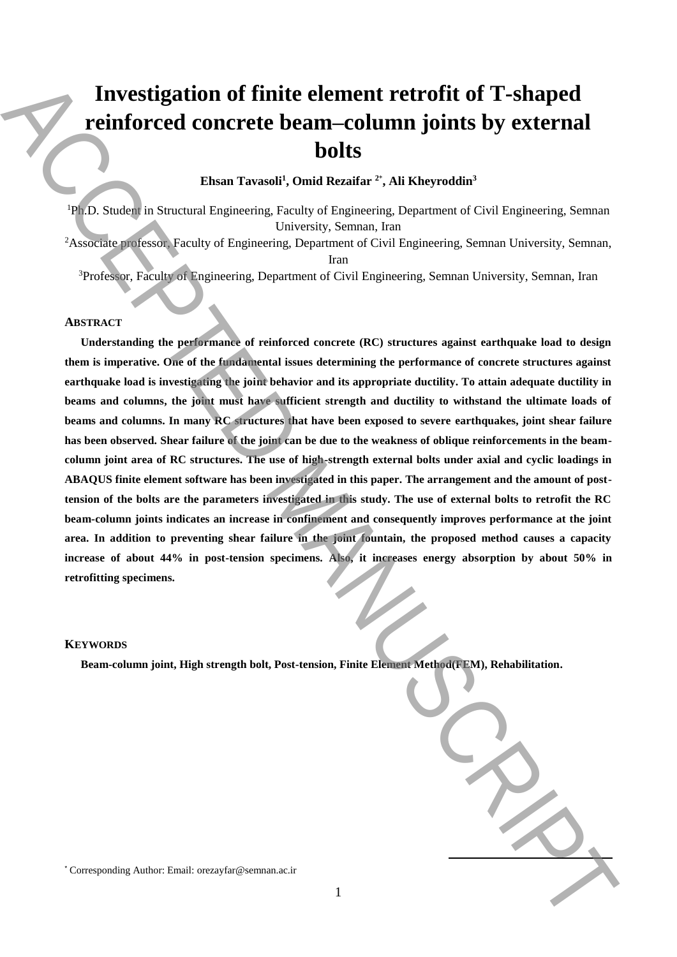# **Investigation of finite element retrofit of T-shaped reinforced concrete beam–column joints by external bolts**

## **Ehsan Tavasoli<sup>1</sup> , Omid Rezaifar <sup>2</sup>**\* **, Ali Kheyroddin<sup>3</sup>**

<sup>1</sup>Ph.D. Student in Structural Engineering, Faculty of Engineering, Department of Civil Engineering, Semnan University, Semnan, Iran

<sup>2</sup>Associate professor, Faculty of Engineering, Department of Civil Engineering, Semnan University, Semnan,

Iran

<sup>3</sup>Professor, Faculty of Engineering, Department of Civil Engineering, Semnan University, Semnan, Iran

## **ABSTRACT**

**Understanding the performance of reinforced concrete (RC) structures against earthquake load to design them is imperative. One of the fundamental issues determining the performance of concrete structures against earthquake load is investigating the joint behavior and its appropriate ductility. To attain adequate ductility in beams and columns, the joint must have sufficient strength and ductility to withstand the ultimate loads of beams and columns. In many RC structures that have been exposed to severe earthquakes, joint shear failure has been observed. Shear failure of the joint can be due to the weakness of oblique reinforcements in the beamcolumn joint area of RC structures. The use of high-strength external bolts under axial and cyclic loadings in ABAQUS finite element software has been investigated in this paper. The arrangement and the amount of posttension of the bolts are the parameters investigated in this study. The use of external bolts to retrofit the RC beam-column joints indicates an increase in confinement and consequently improves performance at the joint area. In addition to preventing shear failure in the joint fountain, the proposed method causes a capacity increase of about 44% in post-tension specimens. Also, it increases energy absorption by about 50% in retrofitting specimens.** Investigation of finite element retrofit of T-shaped<br>
reinforced connected beam-column joints by external<br>
Element Twented', thus Research (Figures),  $\frac{(\text{Eq.} + \text{Eq.} + \text{Eq.} + \text{Eq.} + \text{Eq.} + \text{Eq.} + \text{Eq.} + \text{Eq.} + \text{Eq.} + \text{Eq$ 

#### **KEYWORDS**

**Beam-column joint, High strength bolt, Post-tension, Finite Element Method(FEM), Rehabilitation.**

**.**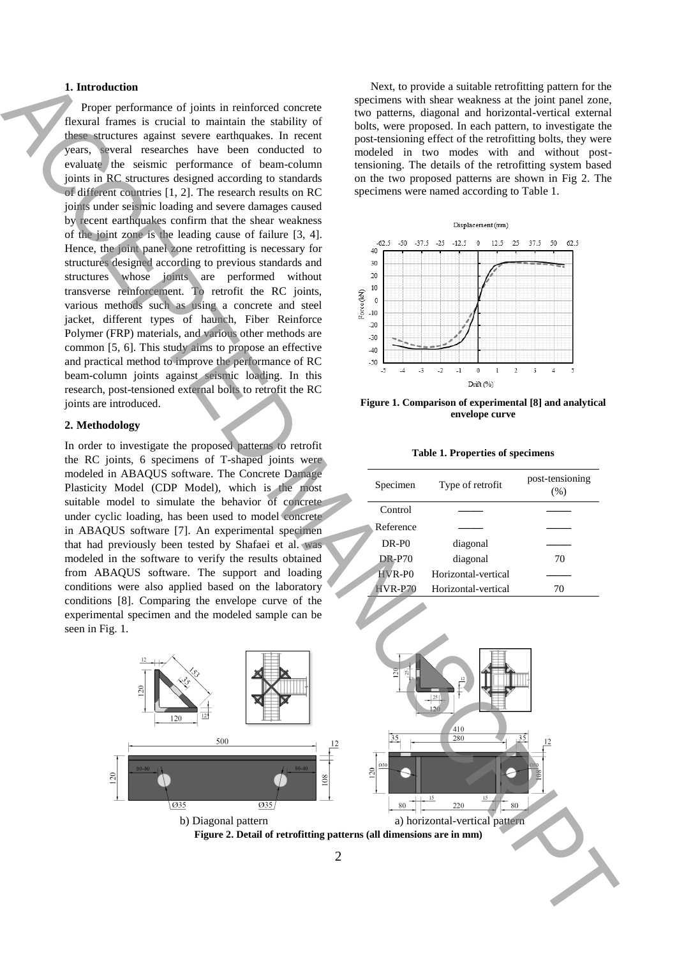## **1. Introduction**

Proper performance of joints in reinforced concrete flexural frames is crucial to maintain the stability of these structures against severe earthquakes. In recent years, several researches have been conducted to evaluate the seismic performance of beam-column joints in RC structures designed according to standards of different countries [1, 2]. The research results on RC joints under seismic loading and severe damages caused by recent earthquakes confirm that the shear weakness of the joint zone is the leading cause of failure [3, 4]. Hence, the joint panel zone retrofitting is necessary for structures designed according to previous standards and structures whose joints are performed without transverse reinforcement. To retrofit the RC joints, various methods such as using a concrete and steel jacket, different types of haunch, Fiber Reinforce Polymer (FRP) materials, and various other methods are common [5, 6]. This study aims to propose an effective and practical method to improve the performance of RC beam-column joints against seismic loading. In this research, post-tensioned external bolts to retrofit the RC joints are introduced.

#### **2. Methodology**

In order to investigate the proposed patterns to retrofit the RC joints, 6 specimens of T-shaped joints were modeled in ABAQUS software. The Concrete Damage Plasticity Model (CDP Model), which is the most suitable model to simulate the behavior of concrete under cyclic loading, has been used to model concrete in ABAQUS software [7]. An experimental specimen that had previously been tested by Shafaei et al. was modeled in the software to verify the results obtained from ABAQUS software. The support and loading conditions were also applied based on the laboratory conditions [8]. Comparing the envelope curve of the experimental specimen and the modeled sample can be seen in Fig. 1.

Next, to provide a suitable retrofitting pattern for the specimens with shear weakness at the joint panel zone, two patterns, diagonal and horizontal-vertical external bolts, were proposed. In each pattern, to investigate the post-tensioning effect of the retrofitting bolts, they were modeled in two modes with and without posttensioning. The details of the retrofitting system based on the two proposed patterns are shown in Fig 2. The specimens were named according to Table 1.



**Figure 1. Comparison of experimental [8] and analytical envelope curve**

|  |  | <b>Table 1. Properties of specimens</b> |
|--|--|-----------------------------------------|
|--|--|-----------------------------------------|

| Specimen          | Type of retrofit    | post-tensioning<br>(%) |
|-------------------|---------------------|------------------------|
| Control           |                     |                        |
| Reference         |                     |                        |
| DR-P <sub>0</sub> | diagonal            |                        |
| <b>DR-P70</b>     | diagonal            | 70                     |
| $HVR-PO$          | Horizontal-vertical |                        |
| $HVR- P70$        | Horizontal-vertical | 70                     |